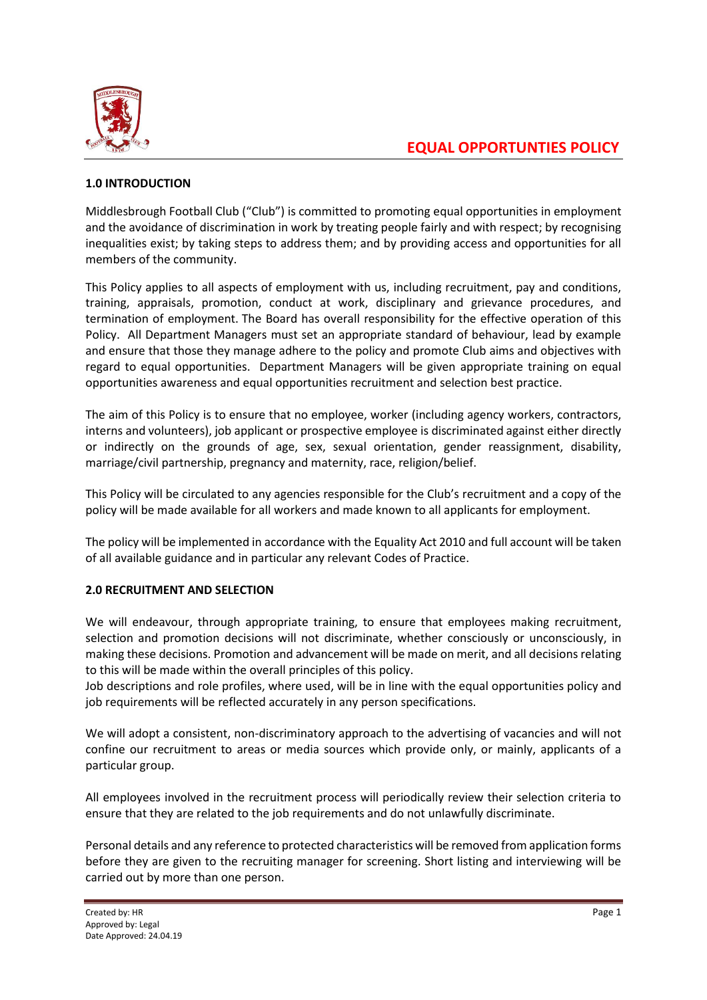

# **1.0 INTRODUCTION**

Middlesbrough Football Club ("Club") is committed to promoting equal opportunities in employment and the avoidance of discrimination in work by treating people fairly and with respect; by recognising inequalities exist; by taking steps to address them; and by providing access and opportunities for all members of the community.

This Policy applies to all aspects of employment with us, including recruitment, pay and conditions, training, appraisals, promotion, conduct at work, disciplinary and grievance procedures, and termination of employment. The Board has overall responsibility for the effective operation of this Policy. All Department Managers must set an appropriate standard of behaviour, lead by example and ensure that those they manage adhere to the policy and promote Club aims and objectives with regard to equal opportunities. Department Managers will be given appropriate training on equal opportunities awareness and equal opportunities recruitment and selection best practice.

The aim of this Policy is to ensure that no employee, worker (including agency workers, contractors, interns and volunteers), job applicant or prospective employee is discriminated against either directly or indirectly on the grounds of age, sex, sexual orientation, gender reassignment, disability, marriage/civil partnership, pregnancy and maternity, race, religion/belief.

This Policy will be circulated to any agencies responsible for the Club's recruitment and a copy of the policy will be made available for all workers and made known to all applicants for employment.

The policy will be implemented in accordance with the Equality Act 2010 and full account will be taken of all available guidance and in particular any relevant Codes of Practice.

## **2.0 RECRUITMENT AND SELECTION**

We will endeavour, through appropriate training, to ensure that employees making recruitment, selection and promotion decisions will not discriminate, whether consciously or unconsciously, in making these decisions. Promotion and advancement will be made on merit, and all decisions relating to this will be made within the overall principles of this policy.

Job descriptions and role profiles, where used, will be in line with the equal opportunities policy and job requirements will be reflected accurately in any person specifications.

We will adopt a consistent, non-discriminatory approach to the advertising of vacancies and will not confine our recruitment to areas or media sources which provide only, or mainly, applicants of a particular group.

All employees involved in the recruitment process will periodically review their selection criteria to ensure that they are related to the job requirements and do not unlawfully discriminate.

Personal details and any reference to protected characteristics will be removed from application forms before they are given to the recruiting manager for screening. Short listing and interviewing will be carried out by more than one person.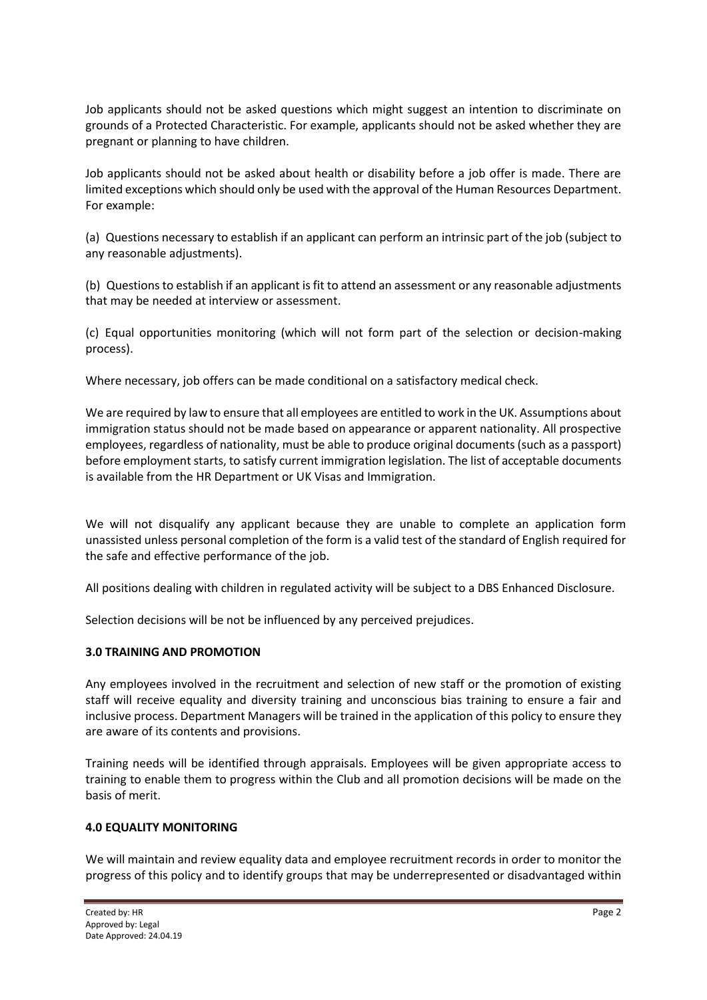Job applicants should not be asked questions which might suggest an intention to discriminate on grounds of a Protected Characteristic. For example, applicants should not be asked whether they are pregnant or planning to have children.

Job applicants should not be asked about health or disability before a job offer is made. There are limited exceptions which should only be used with the approval of the Human Resources Department. For example:

(a) Questions necessary to establish if an applicant can perform an intrinsic part of the job (subject to any reasonable adjustments).

(b) Questions to establish if an applicant is fit to attend an assessment or any reasonable adjustments that may be needed at interview or assessment.

(c) Equal opportunities monitoring (which will not form part of the selection or decision-making process).

Where necessary, job offers can be made conditional on a satisfactory medical check.

We are required by law to ensure that all employees are entitled to work in the UK. Assumptions about immigration status should not be made based on appearance or apparent nationality. All prospective employees, regardless of nationality, must be able to produce original documents (such as a passport) before employment starts, to satisfy current immigration legislation. The list of acceptable documents is available from the HR Department or UK Visas and Immigration.

We will not disqualify any applicant because they are unable to complete an application form unassisted unless personal completion of the form is a valid test of the standard of English required for the safe and effective performance of the job.

All positions dealing with children in regulated activity will be subject to a DBS Enhanced Disclosure.

Selection decisions will be not be influenced by any perceived prejudices.

#### **3.0 TRAINING AND PROMOTION**

Any employees involved in the recruitment and selection of new staff or the promotion of existing staff will receive equality and diversity training and unconscious bias training to ensure a fair and inclusive process. Department Managers will be trained in the application of this policy to ensure they are aware of its contents and provisions.

Training needs will be identified through appraisals. Employees will be given appropriate access to training to enable them to progress within the Club and all promotion decisions will be made on the basis of merit.

#### **4.0 EQUALITY MONITORING**

We will maintain and review equality data and employee recruitment records in order to monitor the progress of this policy and to identify groups that may be underrepresented or disadvantaged within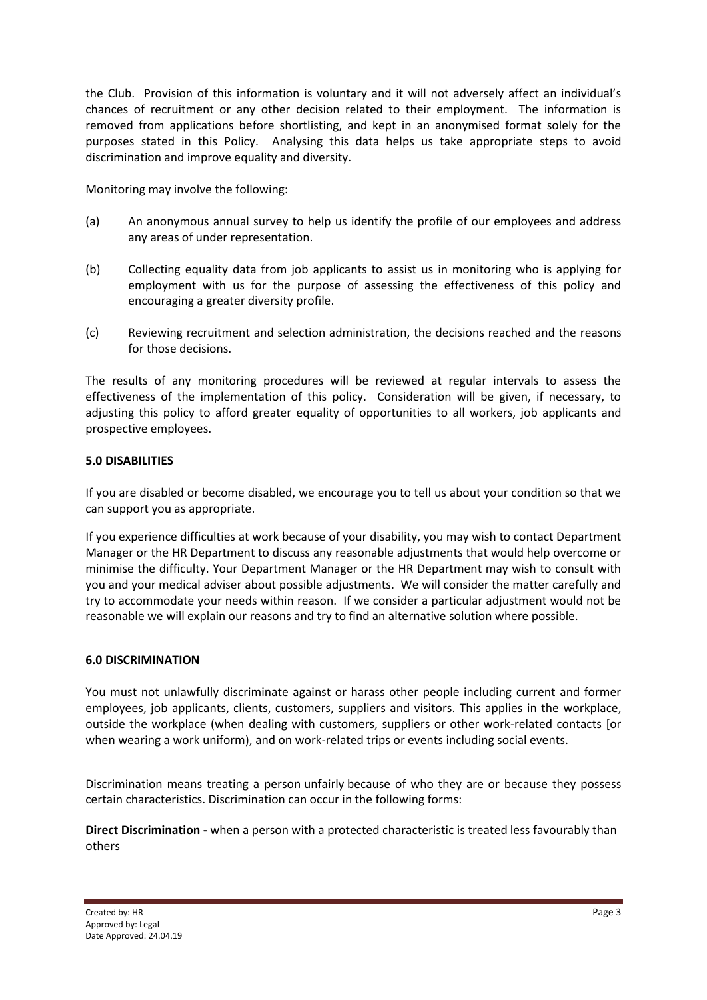the Club. Provision of this information is voluntary and it will not adversely affect an individual's chances of recruitment or any other decision related to their employment. The information is removed from applications before shortlisting, and kept in an anonymised format solely for the purposes stated in this Policy. Analysing this data helps us take appropriate steps to avoid discrimination and improve equality and diversity.

Monitoring may involve the following:

- (a) An anonymous annual survey to help us identify the profile of our employees and address any areas of under representation.
- (b) Collecting equality data from job applicants to assist us in monitoring who is applying for employment with us for the purpose of assessing the effectiveness of this policy and encouraging a greater diversity profile.
- (c) Reviewing recruitment and selection administration, the decisions reached and the reasons for those decisions.

The results of any monitoring procedures will be reviewed at regular intervals to assess the effectiveness of the implementation of this policy. Consideration will be given, if necessary, to adjusting this policy to afford greater equality of opportunities to all workers, job applicants and prospective employees.

### **5.0 DISABILITIES**

If you are disabled or become disabled, we encourage you to tell us about your condition so that we can support you as appropriate.

If you experience difficulties at work because of your disability, you may wish to contact Department Manager or the HR Department to discuss any reasonable adjustments that would help overcome or minimise the difficulty. Your Department Manager or the HR Department may wish to consult with you and your medical adviser about possible adjustments. We will consider the matter carefully and try to accommodate your needs within reason. If we consider a particular adjustment would not be reasonable we will explain our reasons and try to find an alternative solution where possible.

#### **6.0 DISCRIMINATION**

You must not unlawfully discriminate against or harass other people including current and former employees, job applicants, clients, customers, suppliers and visitors. This applies in the workplace, outside the workplace (when dealing with customers, suppliers or other work-related contacts [or when wearing a work uniform), and on work-related trips or events including social events.

Discrimination means treating a person unfairly because of who they are or because they possess certain characteristics. Discrimination can occur in the following forms:

**Direct Discrimination -** when a person with a protected characteristic is treated less favourably than others